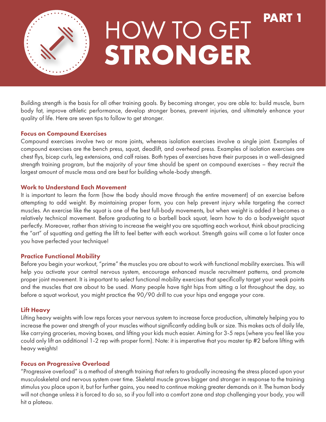

## **STRONGER** HOW TO GET <sup>PAR</sup>

Building strength is the basis for all other training goals. By becoming stronger, you are able to: build muscle, burn body fat, improve athletic performance, develop stronger bones, prevent injuries, and ultimately enhance your quality of life. Here are seven tips to follow to get stronger.

#### Focus on Compound Exercises

Compound exercises involve two or more joints, whereas isolation exercises involve a single joint. Examples of compound exercises are the bench press, squat, deadlift, and overhead press. Examples of isolation exercises are chest flys, bicep curls, leg extensions, and calf raises. Both types of exercises have their purposes in a well-designed strength training program, but the majority of your time should be spent on compound exercises – they recruit the largest amount of muscle mass and are best for building whole-body strength.

#### Work to Understand Each Movement

It is important to learn the form (how the body should move through the entire movement) of an exercise before attempting to add weight. By maintaining proper form, you can help prevent injury while targeting the correct muscles. An exercise like the squat is one of the best full-body movements, but when weight is added it becomes a relatively technical movement. Before graduating to a barbell back squat, learn how to do a bodyweight squat perfectly. Moreover, rather than striving to increase the weight you are squatting each workout, think about practicing the "art" of squatting and getting the lift to feel better with each workout. Strength gains will come a lot faster once you have perfected your technique!

## Practice Functional Mobility

Before you begin your workout, "prime" the muscles you are about to work with functional mobility exercises. This will help you activate your central nervous system, encourage enhanced muscle recruitment patterns, and promote proper joint movement. It is important to select functional mobility exercises that specifically target your weak points and the muscles that are about to be used. Many people have tight hips from sitting a lot throughout the day, so before a squat workout, you might practice the 90/90 drill to cue your hips and engage your core.

## Lift Heavy

Lifting heavy weights with low reps forces your nervous system to increase force production, ultimately helping you to increase the power and strength of your muscles without significantly adding bulk or size. This makes acts of daily life, like carrying groceries, moving boxes, and lifting your kids much easier. Aiming for 3-5 reps (where you feel like you could only lift an additional 1-2 rep with proper form). Note: it is imperative that you master tip #2 before lifting with heavy weights!

## Focus on Progressive Overload

"Progressive overload" is a method of strength training that refers to gradually increasing the stress placed upon your musculoskeletal and nervous system over time. Skeletal muscle grows bigger and stronger in response to the training stimulus you place upon it, but for further gains, you need to continue making greater demands on it. The human body will not change unless it is forced to do so, so if you fall into a comfort zone and stop challenging your body, you will hit a plateau.